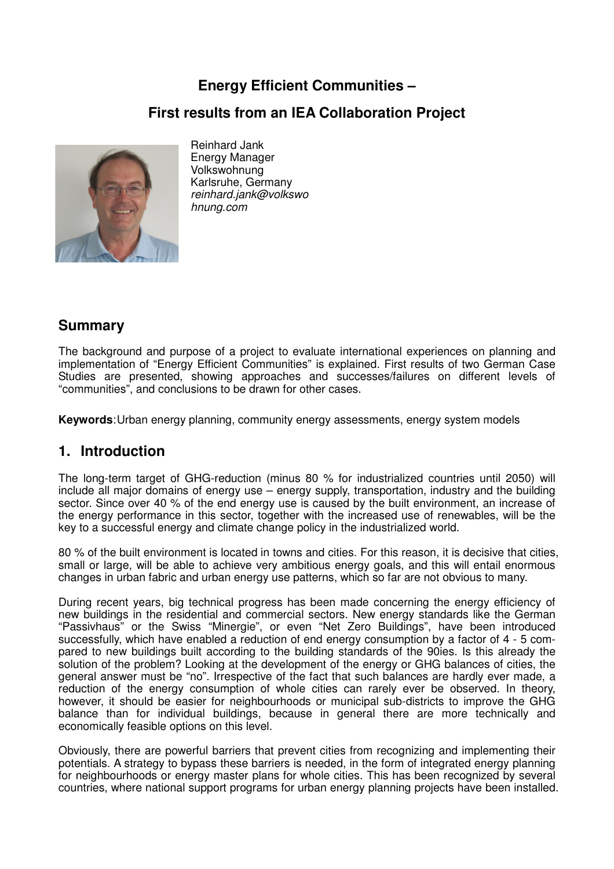# **Energy Efficient Communities –**

### **First results from an IEA Collaboration Project**



Reinhard Jank Energy Manager Volkswohnung Karlsruhe, Germany reinhard.jank@volkswo hnung.com

## **Summary**

The background and purpose of a project to evaluate international experiences on planning and implementation of "Energy Efficient Communities" is explained. First results of two German Case Studies are presented, showing approaches and successes/failures on different levels of "communities", and conclusions to be drawn for other cases.

**Keywords**: Urban energy planning, community energy assessments, energy system models

### **1. Introduction**

The long-term target of GHG-reduction (minus 80 % for industrialized countries until 2050) will include all major domains of energy use – energy supply, transportation, industry and the building sector. Since over 40 % of the end energy use is caused by the built environment, an increase of the energy performance in this sector, together with the increased use of renewables, will be the key to a successful energy and climate change policy in the industrialized world.

80 % of the built environment is located in towns and cities. For this reason, it is decisive that cities, small or large, will be able to achieve very ambitious energy goals, and this will entail enormous changes in urban fabric and urban energy use patterns, which so far are not obvious to many.

During recent years, big technical progress has been made concerning the energy efficiency of new buildings in the residential and commercial sectors. New energy standards like the German "Passivhaus" or the Swiss "Minergie", or even "Net Zero Buildings", have been introduced successfully, which have enabled a reduction of end energy consumption by a factor of 4 - 5 compared to new buildings built according to the building standards of the 90ies. Is this already the solution of the problem? Looking at the development of the energy or GHG balances of cities, the general answer must be "no". Irrespective of the fact that such balances are hardly ever made, a reduction of the energy consumption of whole cities can rarely ever be observed. In theory, however, it should be easier for neighbourhoods or municipal sub-districts to improve the GHG balance than for individual buildings, because in general there are more technically and economically feasible options on this level.

Obviously, there are powerful barriers that prevent cities from recognizing and implementing their potentials. A strategy to bypass these barriers is needed, in the form of integrated energy planning for neighbourhoods or energy master plans for whole cities. This has been recognized by several countries, where national support programs for urban energy planning projects have been installed.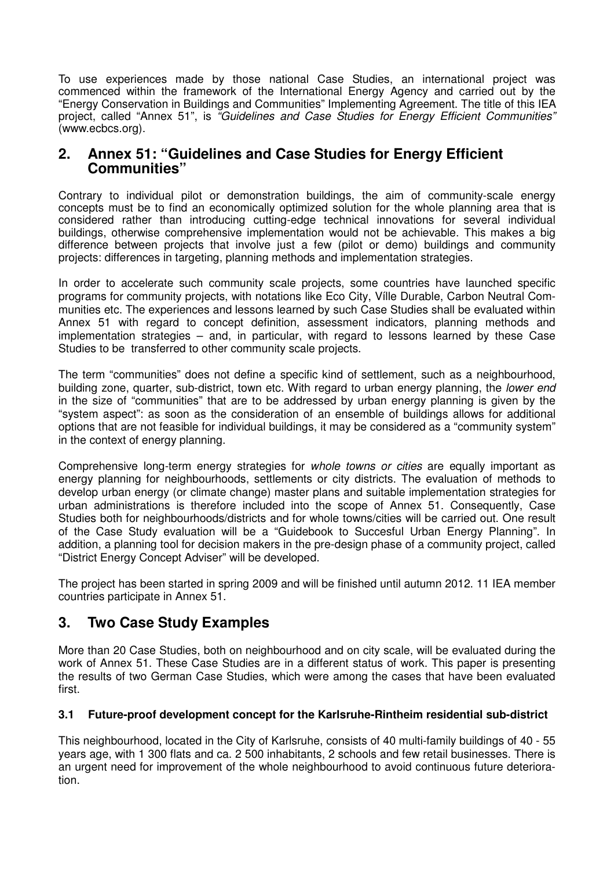To use experiences made by those national Case Studies, an international project was commenced within the framework of the International Energy Agency and carried out by the "Energy Conservation in Buildings and Communities" Implementing Agreement. The title of this IEA project, called "Annex 51", is "Guidelines and Case Studies for Energy Efficient Communities" (www.ecbcs.org).

### **2. Annex 51: "Guidelines and Case Studies for Energy Efficient Communities"**

Contrary to individual pilot or demonstration buildings, the aim of community-scale energy concepts must be to find an economically optimized solution for the whole planning area that is considered rather than introducing cutting-edge technical innovations for several individual buildings, otherwise comprehensive implementation would not be achievable. This makes a big difference between projects that involve just a few (pilot or demo) buildings and community projects: differences in targeting, planning methods and implementation strategies.

In order to accelerate such community scale projects, some countries have launched specific programs for community projects, with notations like Eco City, Vílle Durable, Carbon Neutral Communities etc. The experiences and lessons learned by such Case Studies shall be evaluated within Annex 51 with regard to concept definition, assessment indicators, planning methods and implementation strategies – and, in particular, with regard to lessons learned by these Case Studies to be transferred to other community scale projects.

The term "communities" does not define a specific kind of settlement, such as a neighbourhood, building zone, quarter, sub-district, town etc. With regard to urban energy planning, the *lower end* in the size of "communities" that are to be addressed by urban energy planning is given by the "system aspect": as soon as the consideration of an ensemble of buildings allows for additional options that are not feasible for individual buildings, it may be considered as a "community system" in the context of energy planning.

Comprehensive long-term energy strategies for *whole towns or cities* are equally important as energy planning for neighbourhoods, settlements or city districts. The evaluation of methods to develop urban energy (or climate change) master plans and suitable implementation strategies for urban administrations is therefore included into the scope of Annex 51. Consequently, Case Studies both for neighbourhoods/districts and for whole towns/cities will be carried out. One result of the Case Study evaluation will be a "Guidebook to Succesful Urban Energy Planning". In addition, a planning tool for decision makers in the pre-design phase of a community project, called "District Energy Concept Adviser" will be developed.

The project has been started in spring 2009 and will be finished until autumn 2012. 11 IEA member countries participate in Annex 51.

## **3. Two Case Study Examples**

More than 20 Case Studies, both on neighbourhood and on city scale, will be evaluated during the work of Annex 51. These Case Studies are in a different status of work. This paper is presenting the results of two German Case Studies, which were among the cases that have been evaluated first.

#### **3.1 Future-proof development concept for the Karlsruhe-Rintheim residential sub-district**

This neighbourhood, located in the City of Karlsruhe, consists of 40 multi-family buildings of 40 - 55 years age, with 1 300 flats and ca. 2 500 inhabitants, 2 schools and few retail businesses. There is an urgent need for improvement of the whole neighbourhood to avoid continuous future deterioration.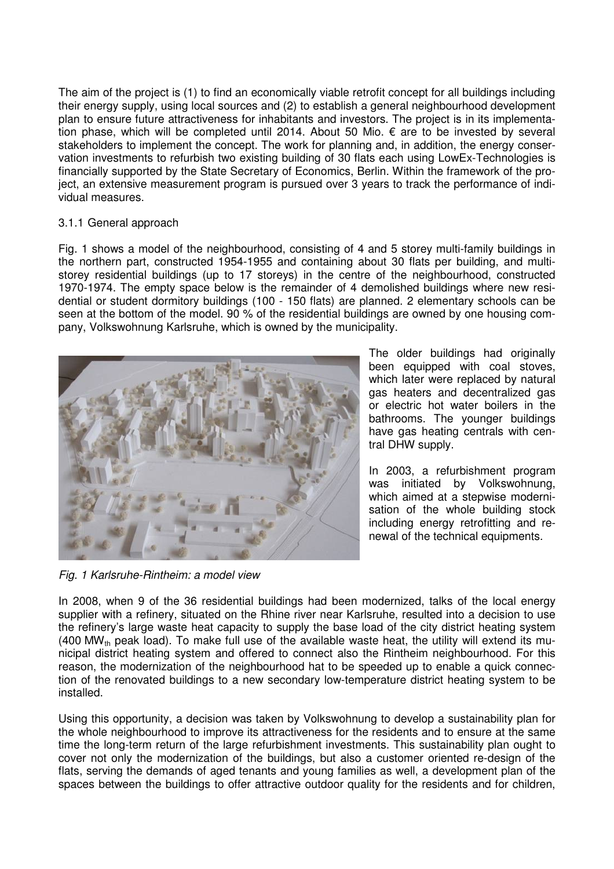The aim of the project is (1) to find an economically viable retrofit concept for all buildings including their energy supply, using local sources and (2) to establish a general neighbourhood development plan to ensure future attractiveness for inhabitants and investors. The project is in its implementation phase, which will be completed until 2014. About 50 Mio. € are to be invested by several stakeholders to implement the concept. The work for planning and, in addition, the energy conservation investments to refurbish two existing building of 30 flats each using LowEx-Technologies is financially supported by the State Secretary of Economics, Berlin. Within the framework of the project, an extensive measurement program is pursued over 3 years to track the performance of individual measures.

#### 3.1.1 General approach

Fig. 1 shows a model of the neighbourhood, consisting of 4 and 5 storey multi-family buildings in the northern part, constructed 1954-1955 and containing about 30 flats per building, and multistorey residential buildings (up to 17 storeys) in the centre of the neighbourhood, constructed 1970-1974. The empty space below is the remainder of 4 demolished buildings where new residential or student dormitory buildings (100 - 150 flats) are planned. 2 elementary schools can be seen at the bottom of the model. 90 % of the residential buildings are owned by one housing company, Volkswohnung Karlsruhe, which is owned by the municipality.



The older buildings had originally been equipped with coal stoves, which later were replaced by natural gas heaters and decentralized gas or electric hot water boilers in the bathrooms. The younger buildings have gas heating centrals with central DHW supply.

In 2003, a refurbishment program was initiated by Volkswohnung, which aimed at a stepwise modernisation of the whole building stock including energy retrofitting and renewal of the technical equipments.

Fig. 1 Karlsruhe-Rintheim: a model view

In 2008, when 9 of the 36 residential buildings had been modernized, talks of the local energy supplier with a refinery, situated on the Rhine river near Karlsruhe, resulted into a decision to use the refinery's large waste heat capacity to supply the base load of the city district heating system (400 MW<sub>th</sub> peak load). To make full use of the available waste heat, the utility will extend its municipal district heating system and offered to connect also the Rintheim neighbourhood. For this reason, the modernization of the neighbourhood hat to be speeded up to enable a quick connection of the renovated buildings to a new secondary low-temperature district heating system to be installed.

Using this opportunity, a decision was taken by Volkswohnung to develop a sustainability plan for the whole neighbourhood to improve its attractiveness for the residents and to ensure at the same time the long-term return of the large refurbishment investments. This sustainability plan ought to cover not only the modernization of the buildings, but also a customer oriented re-design of the flats, serving the demands of aged tenants and young families as well, a development plan of the spaces between the buildings to offer attractive outdoor quality for the residents and for children,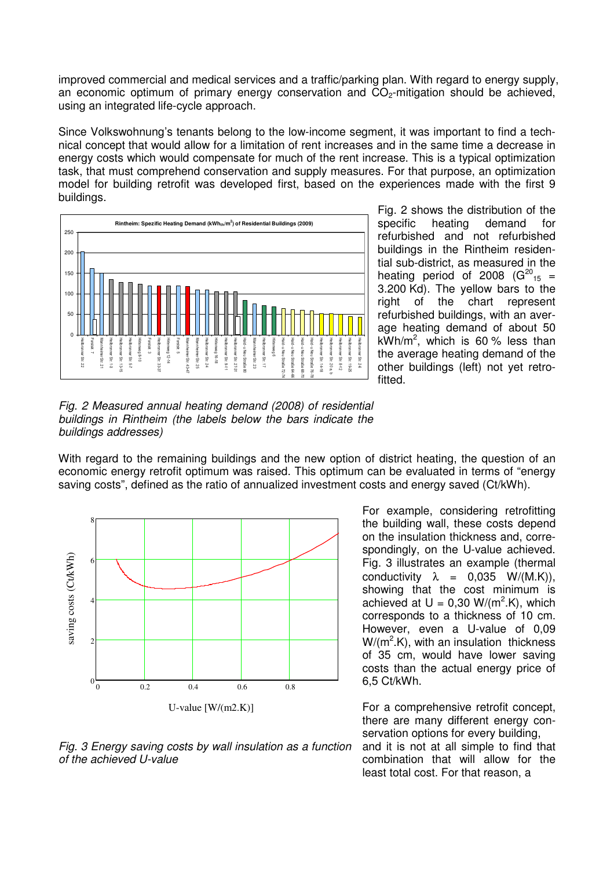improved commercial and medical services and a traffic/parking plan. With regard to energy supply, an economic optimum of primary energy conservation and  $CO<sub>2</sub>$ -mitigation should be achieved, using an integrated life-cycle approach.

Since Volkswohnung's tenants belong to the low-income segment, it was important to find a technical concept that would allow for a limitation of rent increases and in the same time a decrease in energy costs which would compensate for much of the rent increase. This is a typical optimization task, that must comprehend conservation and supply measures. For that purpose, an optimization model for building retrofit was developed first, based on the experiences made with the first 9 buildings.



Fig. 2 shows the distribution of the specific heating demand for refurbished and not refurbished buildings in the Rintheim residential sub-district, as measured in the heating period of 2008 ( $G^{20}$ <sub>15</sub> = 3.200 Kd). The yellow bars to the right of the chart represent refurbished buildings, with an average heating demand of about 50  $kWh/m^2$ , which is 60 % less than the average heating demand of the other buildings (left) not yet retrofitted.

Fig. 2 Measured annual heating demand (2008) of residential buildings in Rintheim (the labels below the bars indicate the buildings addresses)

With regard to the remaining buildings and the new option of district heating, the question of an economic energy retrofit optimum was raised. This optimum can be evaluated in terms of "energy saving costs", defined as the ratio of annualized investment costs and energy saved (Ct/kWh).



Fig. 3 Energy saving costs by wall insulation as a function of the achieved U-value

For example, considering retrofitting the building wall, these costs depend on the insulation thickness and, correspondingly, on the U-value achieved. Fig. 3 illustrates an example (thermal conductivity  $\lambda = 0.035$  W/(M.K)), showing that the cost minimum is achieved at  $U = 0,30$  W/(m<sup>2</sup>.K), which corresponds to a thickness of 10 cm. However, even a U-value of 0,09  $W/(m^2.K)$ , with an insulation thickness of 35 cm, would have lower saving costs than the actual energy price of 6,5 Ct/kWh.

For a comprehensive retrofit concept, there are many different energy conservation options for every building, and it is not at all simple to find that combination that will allow for the least total cost. For that reason, a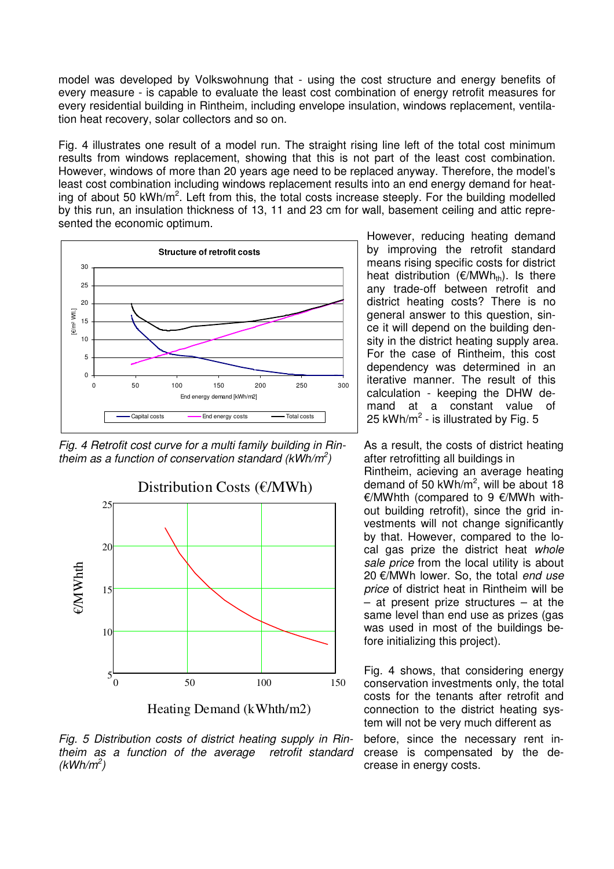model was developed by Volkswohnung that - using the cost structure and energy benefits of every measure - is capable to evaluate the least cost combination of energy retrofit measures for every residential building in Rintheim, including envelope insulation, windows replacement, ventilation heat recovery, solar collectors and so on.

Fig. 4 illustrates one result of a model run. The straight rising line left of the total cost minimum results from windows replacement, showing that this is not part of the least cost combination. However, windows of more than 20 years age need to be replaced anyway. Therefore, the model's least cost combination including windows replacement results into an end energy demand for heating of about 50 kWh/m<sup>2</sup>. Left from this, the total costs increase steeply. For the building modelled by this run, an insulation thickness of 13, 11 and 23 cm for wall, basement ceiling and attic represented the economic optimum.



Fig. 4 Retrofit cost curve for a multi family building in Rintheim as a function of conservation standard (kWh/m<sup>2</sup>)



Heating Demand (kWhth/m2)

Fig. 5 Distribution costs of district heating supply in Rintheim as a function of the average retrofit standard  $(kWh/m^2)$ 

However, reducing heating demand by improving the retrofit standard means rising specific costs for district heat distribution ( $\epsilon/MWh_{th}$ ). Is there any trade-off between retrofit and district heating costs? There is no general answer to this question, since it will depend on the building density in the district heating supply area. For the case of Rintheim, this cost dependency was determined in an iterative manner. The result of this calculation - keeping the DHW demand at a constant value of 25 kWh/m<sup>2</sup> - is illustrated by Fig. 5

As a result, the costs of district heating after retrofitting all buildings in Rintheim, acieving an average heating demand of 50 kWh/m<sup>2</sup>, will be about 18 €/MWhth (compared to 9 €/MWh without building retrofit), since the grid investments will not change significantly by that. However, compared to the local gas prize the district heat whole sale price from the local utility is about 20 €/MWh lower. So, the total end use price of district heat in Rintheim will be – at present prize structures – at the same level than end use as prizes (gas was used in most of the buildings before initializing this project).

Fig. 4 shows, that considering energy conservation investments only, the total costs for the tenants after retrofit and connection to the district heating system will not be very much different as

before, since the necessary rent increase is compensated by the decrease in energy costs.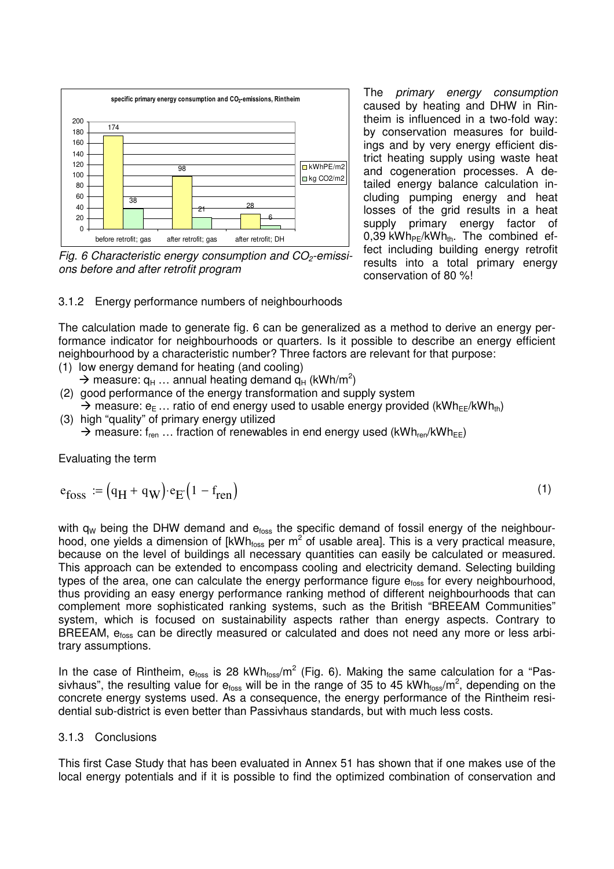

Fig. 6 Characteristic energy consumption and  $CO<sub>2</sub>$ -emissions before and after retrofit program

The primary energy consumption caused by heating and DHW in Rintheim is influenced in a two-fold way: by conservation measures for buildings and by very energy efficient district heating supply using waste heat and cogeneration processes. A detailed energy balance calculation including pumping energy and heat losses of the grid results in a heat supply primary energy factor of 0,39 kWh $_{PE}$ /kWh<sub>th</sub>. The combined effect including building energy retrofit results into a total primary energy conservation of 80 %!

(1)

3.1.2 Energy performance numbers of neighbourhoods

The calculation made to generate fig. 6 can be generalized as a method to derive an energy performance indicator for neighbourhoods or quarters. Is it possible to describe an energy efficient neighbourhood by a characteristic number? Three factors are relevant for that purpose:

- (1) low energy demand for heating (and cooling)
- $\rightarrow$  measure:  $q_H$  ... annual heating demand  $q_H$  (kWh/m<sup>2</sup>)
- (2) good performance of the energy transformation and supply system  $\rightarrow$  measure:  $e_{E}$  ... ratio of end energy used to usable energy provided (kWh<sub>EE</sub>/kWh<sub>th</sub>) (3) high "quality" of primary energy utilized
	- $\rightarrow$  measure: f<sub>ren</sub> ... fraction of renewables in end energy used (kWh<sub>ren</sub>/kWh<sub>EE</sub>)

Evaluating the term

$$
e_{foss} := (q_H + q_W) \cdot e_E (1 - f_{ren})
$$

with  $q_W$  being the DHW demand and  $e<sub>foss</sub>$  the specific demand of fossil energy of the neighbourhood, one yields a dimension of [kWh<sub>foss</sub> per m<sup>2</sup> of usable area]. This is a very practical measure, because on the level of buildings all necessary quantities can easily be calculated or measured. This approach can be extended to encompass cooling and electricity demand. Selecting building types of the area, one can calculate the energy performance figure  $e<sub>foss</sub>$  for every neighbourhood, thus providing an easy energy performance ranking method of different neighbourhoods that can complement more sophisticated ranking systems, such as the British "BREEAM Communities" system, which is focused on sustainability aspects rather than energy aspects. Contrary to BREEAM, e<sub>foss</sub> can be directly measured or calculated and does not need any more or less arbitrary assumptions.

In the case of Rintheim,  $e_{foss}$  is 28 kWh $_{foss}/m^2$  (Fig. 6). Making the same calculation for a "Passivhaus", the resulting value for e<sub>foss</sub> will be in the range of 35 to 45 kWh<sub>foss</sub>/m<sup>2</sup>, depending on the concrete energy systems used. As a consequence, the energy performance of the Rintheim residential sub-district is even better than Passivhaus standards, but with much less costs.

#### 3.1.3 Conclusions

This first Case Study that has been evaluated in Annex 51 has shown that if one makes use of the local energy potentials and if it is possible to find the optimized combination of conservation and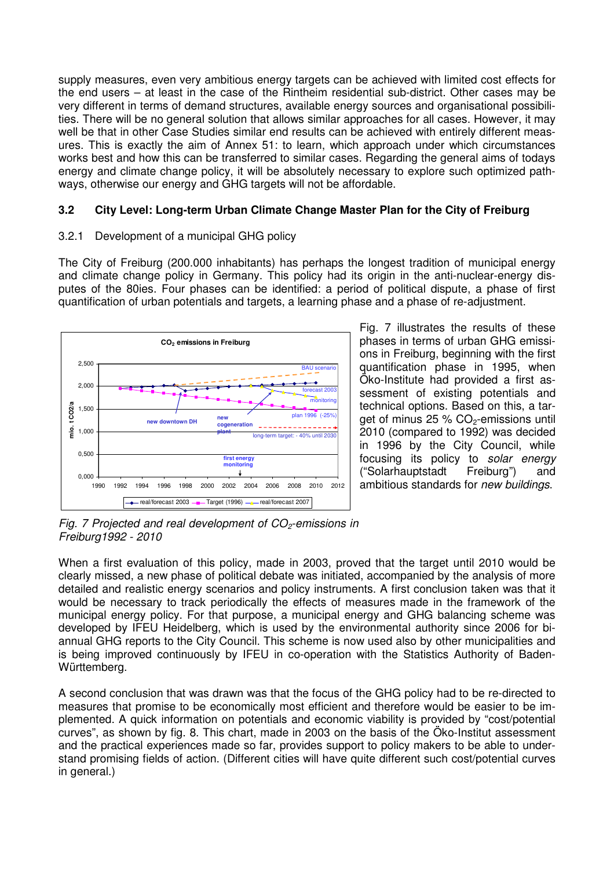supply measures, even very ambitious energy targets can be achieved with limited cost effects for the end users – at least in the case of the Rintheim residential sub-district. Other cases may be very different in terms of demand structures, available energy sources and organisational possibilities. There will be no general solution that allows similar approaches for all cases. However, it may well be that in other Case Studies similar end results can be achieved with entirely different measures. This is exactly the aim of Annex 51: to learn, which approach under which circumstances works best and how this can be transferred to similar cases. Regarding the general aims of todays energy and climate change policy, it will be absolutely necessary to explore such optimized pathways, otherwise our energy and GHG targets will not be affordable.

### **3.2 City Level: Long-term Urban Climate Change Master Plan for the City of Freiburg**

#### 3.2.1 Development of a municipal GHG policy

The City of Freiburg (200.000 inhabitants) has perhaps the longest tradition of municipal energy and climate change policy in Germany. This policy had its origin in the anti-nuclear-energy disputes of the 80ies. Four phases can be identified: a period of political dispute, a phase of first quantification of urban potentials and targets, a learning phase and a phase of re-adjustment.



Fig. 7 illustrates the results of these phases in terms of urban GHG emissions in Freiburg, beginning with the first quantification phase in 1995, when Öko-Institute had provided a first assessment of existing potentials and technical options. Based on this, a target of minus  $25 % CO<sub>2</sub>$ -emissions until 2010 (compared to 1992) was decided in 1996 by the City Council, while focusing its policy to solar energy ("Solarhauptstadt Freiburg") and ambitious standards for new buildings.

Fig. 7 Projected and real development of  $CO<sub>2</sub>$ -emissions in Freiburg1992 - 2010

When a first evaluation of this policy, made in 2003, proved that the target until 2010 would be clearly missed, a new phase of political debate was initiated, accompanied by the analysis of more detailed and realistic energy scenarios and policy instruments. A first conclusion taken was that it would be necessary to track periodically the effects of measures made in the framework of the municipal energy policy. For that purpose, a municipal energy and GHG balancing scheme was developed by IFEU Heidelberg, which is used by the environmental authority since 2006 for biannual GHG reports to the City Council. This scheme is now used also by other municipalities and is being improved continuously by IFEU in co-operation with the Statistics Authority of Baden-Württemberg.

A second conclusion that was drawn was that the focus of the GHG policy had to be re-directed to measures that promise to be economically most efficient and therefore would be easier to be implemented. A quick information on potentials and economic viability is provided by "cost/potential curves", as shown by fig. 8. This chart, made in 2003 on the basis of the Öko-Institut assessment and the practical experiences made so far, provides support to policy makers to be able to understand promising fields of action. (Different cities will have quite different such cost/potential curves in general.)